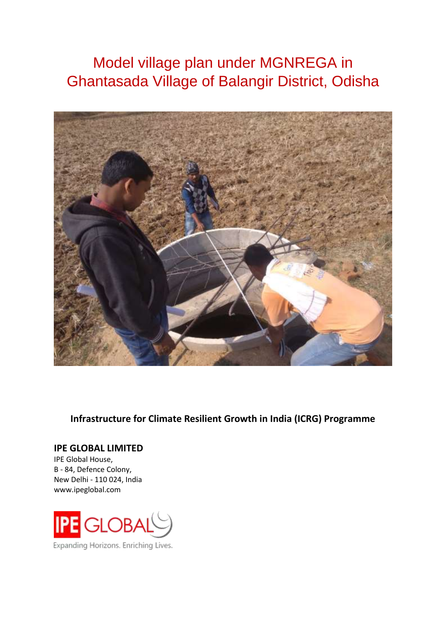# Model village plan under MGNREGA in Ghantasada Village of Balangir District, Odisha



**Infrastructure for Climate Resilient Growth in India (ICRG) Programme**

### **IPE GLOBAL LIMITED**

IPE Global House, B - 84, Defence Colony, New Delhi - 110 024, India www.ipeglobal.com



Expanding Horizons. Enriching Lives.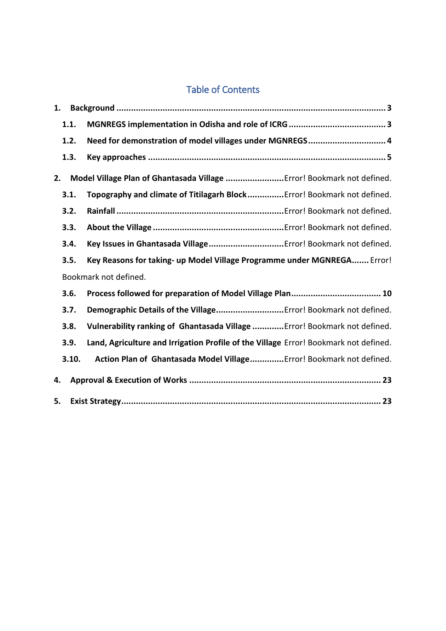# Table of Contents

| 1. |       |                                                                                      |
|----|-------|--------------------------------------------------------------------------------------|
|    | 1.1.  |                                                                                      |
|    | 1.2.  | Need for demonstration of model villages under MGNREGS 4                             |
|    | 1.3.  |                                                                                      |
| 2. |       | Model Village Plan of Ghantasada Village Error! Bookmark not defined.                |
|    | 3.1.  | Topography and climate of Titilagarh BlockError! Bookmark not defined.               |
|    | 3.2.  |                                                                                      |
|    | 3.3.  |                                                                                      |
|    | 3.4.  |                                                                                      |
|    | 3.5.  | Key Reasons for taking- up Model Village Programme under MGNREGA Error!              |
|    |       | Bookmark not defined.                                                                |
|    | 3.6.  |                                                                                      |
|    | 3.7.  | Demographic Details of the VillageError! Bookmark not defined.                       |
|    | 3.8.  | Vulnerability ranking of Ghantasada Village  Error! Bookmark not defined.            |
|    | 3.9.  | Land, Agriculture and Irrigation Profile of the Village Error! Bookmark not defined. |
|    | 3.10. | Action Plan of Ghantasada Model Village Error! Bookmark not defined.                 |
| 4. |       |                                                                                      |
| 5. |       |                                                                                      |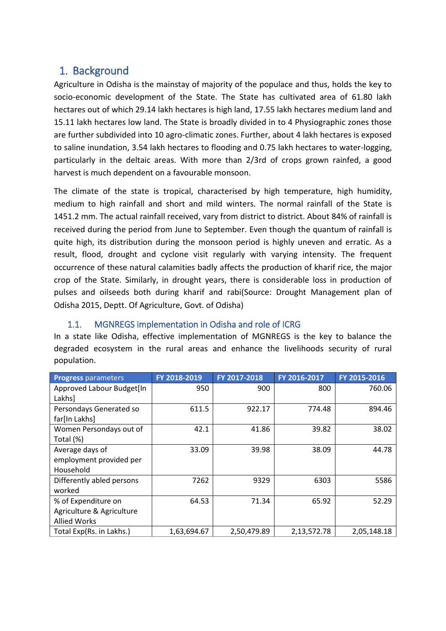# <span id="page-2-0"></span>1. Background

Agriculture in Odisha is the mainstay of majority of the populace and thus, holds the key to socio-economic development of the State. The State has cultivated area of 61.80 lakh hectares out of which 29.14 lakh hectares is high land, 17.55 lakh hectares medium land and 15.11 lakh hectares low land. The State is broadly divided in to 4 Physiographic zones those are further subdivided into 10 agro-climatic zones. Further, about 4 lakh hectares is exposed to saline inundation, 3.54 lakh hectares to flooding and 0.75 lakh hectares to water-logging, particularly in the deltaic areas. With more than 2/3rd of crops grown rainfed, a good harvest is much dependent on a favourable monsoon.

The climate of the state is tropical, characterised by high temperature, high humidity, medium to high rainfall and short and mild winters. The normal rainfall of the State is 1451.2 mm. The actual rainfall received, vary from district to district. About 84% of rainfall is received during the period from June to September. Even though the quantum of rainfall is quite high, its distribution during the monsoon period is highly uneven and erratic. As a result, flood, drought and cyclone visit regularly with varying intensity. The frequent occurrence of these natural calamities badly affects the production of kharif rice, the major crop of the State. Similarly, in drought years, there is considerable loss in production of pulses and oilseeds both during kharif and rabi(Source: Drought Management plan of Odisha 2015, Deptt. Of Agriculture, Govt. of Odisha)

# <span id="page-2-1"></span>1.1. MGNREGS implementation in Odisha and role of ICRG

In a state like Odisha, effective implementation of MGNREGS is the key to balance the degraded ecosystem in the rural areas and enhance the livelihoods security of rural population.

| <b>Progress parameters</b> | FY 2018-2019 | FY 2017-2018 | FY 2016-2017 | FY 2015-2016 |
|----------------------------|--------------|--------------|--------------|--------------|
| Approved Labour Budget[In  | 950          | 900          | 800          | 760.06       |
| Lakhs]                     |              |              |              |              |
| Persondays Generated so    | 611.5        | 922.17       | 774.48       | 894.46       |
| far[In Lakhs]              |              |              |              |              |
| Women Persondays out of    | 42.1         | 41.86        | 39.82        | 38.02        |
| Total (%)                  |              |              |              |              |
| Average days of            | 33.09        | 39.98        | 38.09        | 44.78        |
| employment provided per    |              |              |              |              |
| Household                  |              |              |              |              |
| Differently abled persons  | 7262         | 9329         | 6303         | 5586         |
| worked                     |              |              |              |              |
| % of Expenditure on        | 64.53        | 71.34        | 65.92        | 52.29        |
| Agriculture & Agriculture  |              |              |              |              |
| <b>Allied Works</b>        |              |              |              |              |
| Total Exp(Rs. in Lakhs.)   | 1,63,694.67  | 2,50,479.89  | 2,13,572.78  | 2,05,148.18  |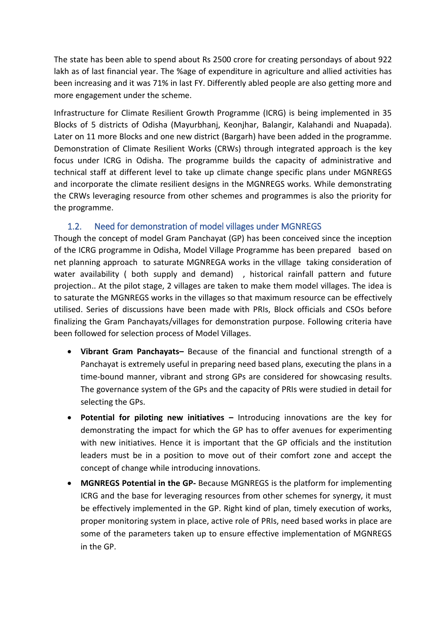The state has been able to spend about Rs 2500 crore for creating persondays of about 922 lakh as of last financial year. The %age of expenditure in agriculture and allied activities has been increasing and it was 71% in last FY. Differently abled people are also getting more and more engagement under the scheme.

Infrastructure for Climate Resilient Growth Programme (ICRG) is being implemented in 35 Blocks of 5 districts of Odisha (Mayurbhanj, Keonjhar, Balangir, Kalahandi and Nuapada). Later on 11 more Blocks and one new district (Bargarh) have been added in the programme. Demonstration of Climate Resilient Works (CRWs) through integrated approach is the key focus under ICRG in Odisha. The programme builds the capacity of administrative and technical staff at different level to take up climate change specific plans under MGNREGS and incorporate the climate resilient designs in the MGNREGS works. While demonstrating the CRWs leveraging resource from other schemes and programmes is also the priority for the programme.

### 1.2. Need for demonstration of model villages under MGNREGS

<span id="page-3-0"></span>Though the concept of model Gram Panchayat (GP) has been conceived since the inception of the ICRG programme in Odisha, Model Village Programme has been prepared based on net planning approach to saturate MGNREGA works in the vIllage taking consideration of water availability ( both supply and demand) , historical rainfall pattern and future projection.. At the pilot stage, 2 villages are taken to make them model villages. The idea is to saturate the MGNREGS works in the villages so that maximum resource can be effectively utilised. Series of discussions have been made with PRIs, Block officials and CSOs before finalizing the Gram Panchayats/villages for demonstration purpose. Following criteria have been followed for selection process of Model Villages.

- **Vibrant Gram Panchayats–** Because of the financial and functional strength of a Panchayat is extremely useful in preparing need based plans, executing the plans in a time-bound manner, vibrant and strong GPs are considered for showcasing results. The governance system of the GPs and the capacity of PRIs were studied in detail for selecting the GPs.
- **Potential for piloting new initiatives –** Introducing innovations are the key for demonstrating the impact for which the GP has to offer avenues for experimenting with new initiatives. Hence it is important that the GP officials and the institution leaders must be in a position to move out of their comfort zone and accept the concept of change while introducing innovations.
- **MGNREGS Potential in the GP-** Because MGNREGS is the platform for implementing ICRG and the base for leveraging resources from other schemes for synergy, it must be effectively implemented in the GP. Right kind of plan, timely execution of works, proper monitoring system in place, active role of PRIs, need based works in place are some of the parameters taken up to ensure effective implementation of MGNREGS in the GP.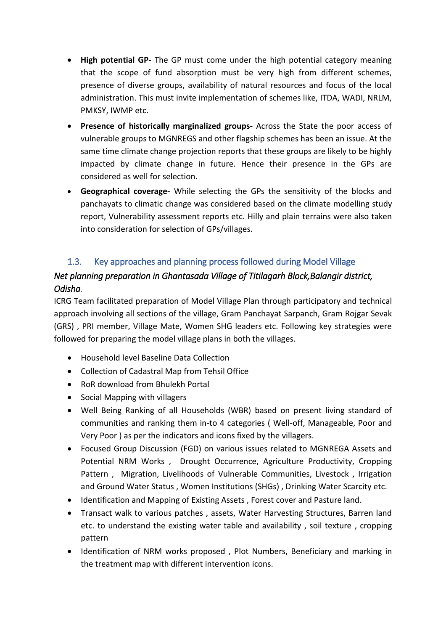- **High potential GP-** The GP must come under the high potential category meaning that the scope of fund absorption must be very high from different schemes, presence of diverse groups, availability of natural resources and focus of the local administration. This must invite implementation of schemes like, ITDA, WADI, NRLM, PMKSY, IWMP etc.
- **Presence of historically marginalized groups-** Across the State the poor access of vulnerable groups to MGNREGS and other flagship schemes has been an issue. At the same time climate change projection reports that these groups are likely to be highly impacted by climate change in future. Hence their presence in the GPs are considered as well for selection.
- **Geographical coverage-** While selecting the GPs the sensitivity of the blocks and panchayats to climatic change was considered based on the climate modelling study report, Vulnerability assessment reports etc. Hilly and plain terrains were also taken into consideration for selection of GPs/villages.

### <span id="page-4-0"></span>1.3. Key approaches and planning process followed during Model Village

# *Net planning preparation in Ghantasada Village of Titilagarh Block,Balangir district, Odisha.*

ICRG Team facilitated preparation of Model Village Plan through participatory and technical approach involving all sections of the village, Gram Panchayat Sarpanch, Gram Rojgar Sevak (GRS) , PRI member, Village Mate, Women SHG leaders etc. Following key strategies were followed for preparing the model village plans in both the villages.

- Household level Baseline Data Collection
- Collection of Cadastral Map from Tehsil Office
- RoR download from Bhulekh Portal
- Social Mapping with villagers
- Well Being Ranking of all Households (WBR) based on present living standard of communities and ranking them in-to 4 categories ( Well-off, Manageable, Poor and Very Poor ) as per the indicators and icons fixed by the villagers.
- Focused Group Discussion (FGD) on various issues related to MGNREGA Assets and Potential NRM Works , Drought Occurrence, Agriculture Productivity, Cropping Pattern , Migration, Livelihoods of Vulnerable Communities, Livestock , Irrigation and Ground Water Status , Women Institutions (SHGs) , Drinking Water Scarcity etc.
- Identification and Mapping of Existing Assets , Forest cover and Pasture land.
- Transact walk to various patches , assets, Water Harvesting Structures, Barren land etc. to understand the existing water table and availability , soil texture , cropping pattern
- Identification of NRM works proposed , Plot Numbers, Beneficiary and marking in the treatment map with different intervention icons.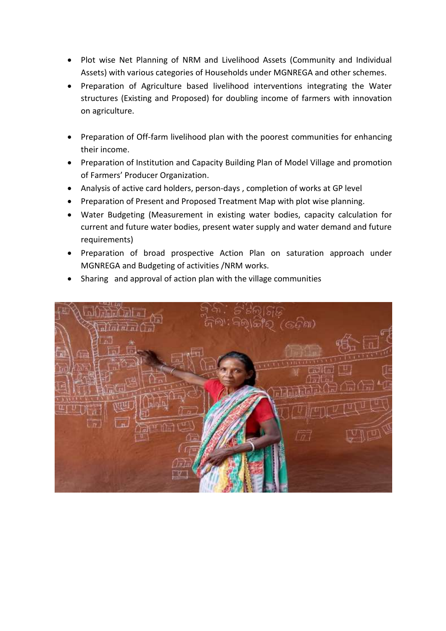- Plot wise Net Planning of NRM and Livelihood Assets (Community and Individual Assets) with various categories of Households under MGNREGA and other schemes.
- Preparation of Agriculture based livelihood interventions integrating the Water structures (Existing and Proposed) for doubling income of farmers with innovation on agriculture.
- Preparation of Off-farm livelihood plan with the poorest communities for enhancing their income.
- Preparation of Institution and Capacity Building Plan of Model Village and promotion of Farmers' Producer Organization.
- Analysis of active card holders, person-days , completion of works at GP level
- Preparation of Present and Proposed Treatment Map with plot wise planning.
- Water Budgeting (Measurement in existing water bodies, capacity calculation for current and future water bodies, present water supply and water demand and future requirements)
- Preparation of broad prospective Action Plan on saturation approach under MGNREGA and Budgeting of activities /NRM works.
- Sharing and approval of action plan with the village communities

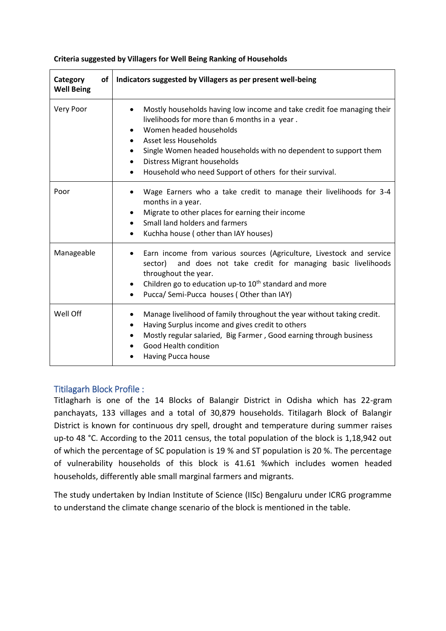| Category<br>оf<br><b>Well Being</b> | Indicators suggested by Villagers as per present well-being                                                                                                                                                                                                                                                                                       |
|-------------------------------------|---------------------------------------------------------------------------------------------------------------------------------------------------------------------------------------------------------------------------------------------------------------------------------------------------------------------------------------------------|
| Very Poor                           | Mostly households having low income and take credit foe managing their<br>livelihoods for more than 6 months in a year.<br>Women headed households<br>Asset less Households<br>Single Women headed households with no dependent to support them<br><b>Distress Migrant households</b><br>Household who need Support of others for their survival. |
| Poor                                | Wage Earners who a take credit to manage their livelihoods for 3-4<br>months in a year.<br>Migrate to other places for earning their income<br>Small land holders and farmers<br>Kuchha house (other than IAY houses)                                                                                                                             |
| Manageable                          | Earn income from various sources (Agriculture, Livestock and service<br>and does not take credit for managing basic livelihoods<br>sector)<br>throughout the year.<br>Children go to education up-to 10 <sup>th</sup> standard and more<br>Pucca/ Semi-Pucca houses (Other than IAY)                                                              |
| Well Off                            | Manage livelihood of family throughout the year without taking credit.<br>Having Surplus income and gives credit to others<br>Mostly regular salaried, Big Farmer, Good earning through business<br>Good Health condition<br>Having Pucca house                                                                                                   |

#### **Criteria suggested by Villagers for Well Being Ranking of Households**

#### Titilagarh Block Profile :

Titlagharh is one of the 14 Blocks of Balangir District in Odisha which has 22-gram panchayats, 133 villages and a total of 30,879 households. Titilagarh Block of Balangir District is known for continuous dry spell, drought and temperature during summer raises up-to 48 °C. According to the 2011 census, the total population of the block is 1,18,942 out of which the percentage of SC population is 19 % and ST population is 20 %. The percentage of vulnerability households of this block is 41.61 %which includes women headed households, differently able small marginal farmers and migrants.

The study undertaken by Indian Institute of Science (IISc) Bengaluru under ICRG programme to understand the climate change scenario of the block is mentioned in the table.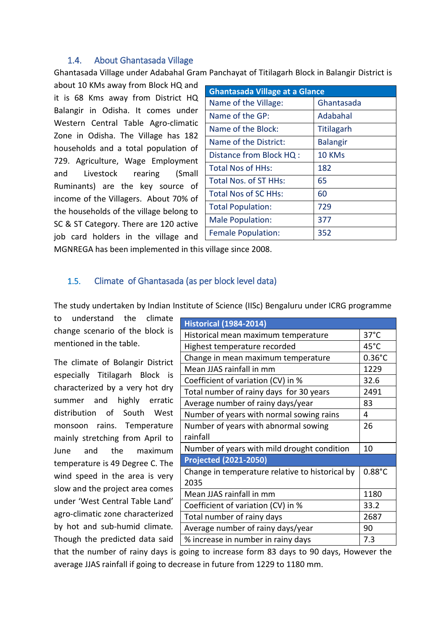### 1.4. About Ghantasada Village

Ghantasada Village under Adabahal Gram Panchayat of Titilagarh Block in Balangir District is

about 10 KMs away from Block HQ and it is 68 Kms away from District HQ Balangir in Odisha. It comes under Western Central Table Agro-climatic Zone in Odisha. The Village has 182 households and a total population of 729. Agriculture, Wage Employment and Livestock rearing (Small Ruminants) are the key source of income of the Villagers. About 70% of the households of the village belong to SC & ST Category. There are 120 active job card holders in the village and

| <b>Ghantasada Village at a Glance</b> |                 |  |  |  |  |
|---------------------------------------|-----------------|--|--|--|--|
| Name of the Village:                  | Ghantasada      |  |  |  |  |
| Name of the GP:                       | Adabahal        |  |  |  |  |
| Name of the Block:                    | Titilagarh      |  |  |  |  |
| Name of the District:                 | <b>Balangir</b> |  |  |  |  |
| Distance from Block HQ :              | 10 KMs          |  |  |  |  |
| <b>Total Nos of HHs:</b>              | 182             |  |  |  |  |
| Total Nos. of ST HHs:                 | 65              |  |  |  |  |
| <b>Total Nos of SC HHs:</b>           | 60              |  |  |  |  |
| <b>Total Population:</b>              | 729             |  |  |  |  |
| <b>Male Population:</b>               | 377             |  |  |  |  |
| <b>Female Population:</b>             | 352             |  |  |  |  |

MGNREGA has been implemented in this village since 2008.

### 1.5. Climate of Ghantasada (as per block level data)

The study undertaken by Indian Institute of Science (IISc) Bengaluru under ICRG programme

to understand the climate change scenario of the block is mentioned in the table.

The climate of Bolangir District especially Titilagarh Block is characterized by a very hot dry summer and highly erratic distribution of South West monsoon rains. Temperature mainly stretching from April to June and the maximum temperature is 49 Degree C. The wind speed in the area is very slow and the project area comes under 'West Central Table Land' agro-climatic zone characterized by hot and sub-humid climate*.* Though the predicted data said

| <b>Historical (1984-2014)</b>                   |                  |
|-------------------------------------------------|------------------|
| Historical mean maximum temperature             | $37^{\circ}$ C   |
| Highest temperature recorded                    | $45^{\circ}$ C   |
| Change in mean maximum temperature              | $0.36^{\circ}$ C |
| Mean JJAS rainfall in mm                        | 1229             |
| Coefficient of variation (CV) in %              | 32.6             |
| Total number of rainy days for 30 years         | 2491             |
| Average number of rainy days/year               | 83               |
| Number of years with normal sowing rains        | 4                |
| Number of years with abnormal sowing            | 26               |
| rainfall                                        |                  |
| Number of years with mild drought condition     | 10               |
| <b>Projected (2021-2050)</b>                    |                  |
| Change in temperature relative to historical by | $0.88^{\circ}$ C |
| 2035                                            |                  |
| Mean JJAS rainfall in mm                        | 1180             |
| Coefficient of variation (CV) in %              | 33.2             |
| Total number of rainy days                      | 2687             |
| Average number of rainy days/year               | 90               |
| % increase in number in rainy days              | 7.3              |

that the number of rainy days is going to increase form 83 days to 90 days, However the average JJAS rainfall if going to decrease in future from 1229 to 1180 mm.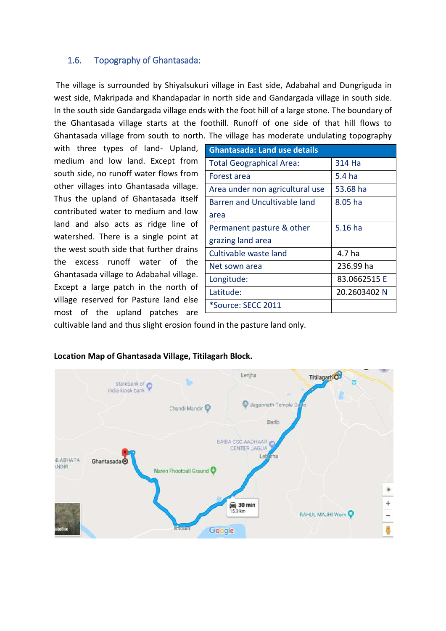### 1.6. Topography of Ghantasada:

The village is surrounded by Shiyalsukuri village in East side, Adabahal and Dungriguda in west side, Makripada and Khandapadar in north side and Gandargada village in south side. In the south side Gandargada village ends with the foot hill of a large stone. The boundary of the Ghantasada village starts at the foothill. Runoff of one side of that hill flows to Ghantasada village from south to north. The village has moderate undulating topography

with three types of land- Upland, medium and low land. Except from south side, no runoff water flows from other villages into Ghantasada village. Thus the upland of Ghantasada itself contributed water to medium and low land and also acts as ridge line of watershed. There is a single point at the west south side that further drains the excess runoff water of the Ghantasada village to Adabahal village. Except a large patch in the north of village reserved for Pasture land else most of the upland patches are

| <b>Ghantasada: Land use details</b> |                   |  |  |  |  |  |
|-------------------------------------|-------------------|--|--|--|--|--|
| <b>Total Geographical Area:</b>     | 314 Ha            |  |  |  |  |  |
| Forest area                         | 5.4 <sub>ha</sub> |  |  |  |  |  |
| Area under non agricultural use     | 53.68 ha          |  |  |  |  |  |
| <b>Barren and Uncultivable land</b> | $8.05$ ha         |  |  |  |  |  |
| area                                |                   |  |  |  |  |  |
| Permanent pasture & other           | $5.16$ ha         |  |  |  |  |  |
| grazing land area                   |                   |  |  |  |  |  |
| Cultivable waste land               | 4.7 ha            |  |  |  |  |  |
| Net sown area                       | 236.99 ha         |  |  |  |  |  |
| Longitude:                          | 83.0662515 E      |  |  |  |  |  |
| Latitude:                           | 20.2603402 N      |  |  |  |  |  |
| *Source: SECC 2011                  |                   |  |  |  |  |  |

cultivable land and thus slight erosion found in the pasture land only.



#### **Location Map of Ghantasada Village, Titilagarh Block.**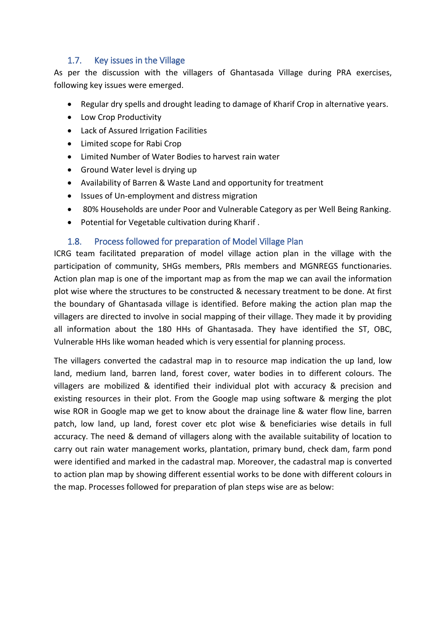### 1.7. Key issues in the Village

As per the discussion with the villagers of Ghantasada Village during PRA exercises, following key issues were emerged.

- Regular dry spells and drought leading to damage of Kharif Crop in alternative years.
- Low Crop Productivity
- Lack of Assured Irrigation Facilities
- Limited scope for Rabi Crop
- Limited Number of Water Bodies to harvest rain water
- Ground Water level is drying up
- Availability of Barren & Waste Land and opportunity for treatment
- Issues of Un-employment and distress migration
- 80% Households are under Poor and Vulnerable Category as per Well Being Ranking.
- Potential for Vegetable cultivation during Kharif .

### 1.8. Process followed for preparation of Model Village Plan

<span id="page-9-0"></span>ICRG team facilitated preparation of model village action plan in the village with the participation of community, SHGs members, PRIs members and MGNREGS functionaries. Action plan map is one of the important map as from the map we can avail the information plot wise where the structures to be constructed & necessary treatment to be done. At first the boundary of Ghantasada village is identified. Before making the action plan map the villagers are directed to involve in social mapping of their village. They made it by providing all information about the 180 HHs of Ghantasada. They have identified the ST, OBC, Vulnerable HHs like woman headed which is very essential for planning process.

The villagers converted the cadastral map in to resource map indication the up land, low land, medium land, barren land, forest cover, water bodies in to different colours. The villagers are mobilized & identified their individual plot with accuracy & precision and existing resources in their plot. From the Google map using software & merging the plot wise ROR in Google map we get to know about the drainage line & water flow line, barren patch, low land, up land, forest cover etc plot wise & beneficiaries wise details in full accuracy. The need & demand of villagers along with the available suitability of location to carry out rain water management works, plantation, primary bund, check dam, farm pond were identified and marked in the cadastral map. Moreover, the cadastral map is converted to action plan map by showing different essential works to be done with different colours in the map. Processes followed for preparation of plan steps wise are as below: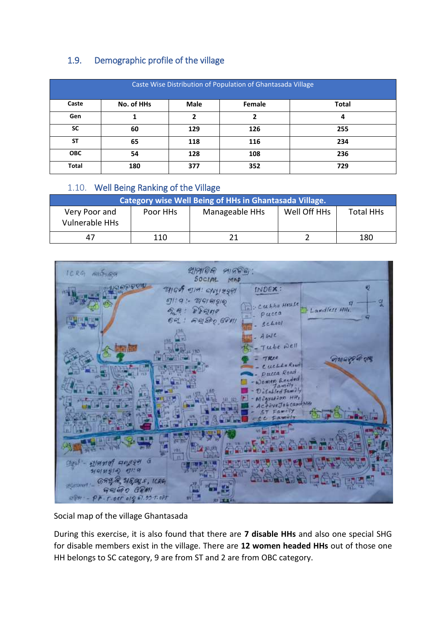# 1.9. Demographic profile of the village

| Caste Wise Distribution of Population of Ghantasada Village  |     |     |     |     |  |  |  |
|--------------------------------------------------------------|-----|-----|-----|-----|--|--|--|
| Caste<br>No. of HHs<br><b>Male</b><br>Female<br><b>Total</b> |     |     |     |     |  |  |  |
| Gen                                                          |     |     | ני  | 4   |  |  |  |
| <b>SC</b>                                                    | 60  | 129 | 126 | 255 |  |  |  |
| <b>ST</b>                                                    | 65  | 118 | 116 | 234 |  |  |  |
| <b>OBC</b>                                                   | 54  | 128 | 108 | 236 |  |  |  |
| Total                                                        | 180 | 377 | 352 | 729 |  |  |  |

### 1.10. Well Being Ranking of the Village

| Category wise Well Being of HHs in Ghantasada Village.                                                   |     |  |  |     |  |  |  |  |
|----------------------------------------------------------------------------------------------------------|-----|--|--|-----|--|--|--|--|
| Well Off HHs<br><b>Total HHs</b><br>Manageable HHs<br>Poor HHs<br>Very Poor and<br><b>Vulnerable HHs</b> |     |  |  |     |  |  |  |  |
| 47                                                                                                       | 110 |  |  | 180 |  |  |  |  |

| ICRG<br>GILDHAM                                                                                                                                     | প্রাপালি<br>91966<br>$50C$ $H$<br>MAP                                                                                                                                           |
|-----------------------------------------------------------------------------------------------------------------------------------------------------|---------------------------------------------------------------------------------------------------------------------------------------------------------------------------------|
|                                                                                                                                                     | ø<br>INDEX:<br>आर्थ्य बामः लक्षाश्रमेक<br>29919190<br>In: Ceehha Heuse<br>हिन्दा मन<br>Landless HHs.<br>气质<br>$n - \rho$ ucca<br>AQSPQ, GOVIL<br>$6 - 1$<br>5ch001<br>$- A W C$ |
|                                                                                                                                                     | Tube well<br><u>লাখাওল্ট ক হাম</u><br>TREE<br>Cuchke Road<br>Pucca Road<br>Women <i>Beaded</i><br><b>Camily</b><br>Disabled Jamilly                                             |
|                                                                                                                                                     | caration HH <sub>e</sub><br><b>b</b> card HH<br>amely<br>m                                                                                                                      |
| 190 G<br>$21/913187$ 611<br>Clou)<br>999999<br>$+600007 - 6798$ 1545, 1686<br>$G$ $H$ $G$ $G$ $H$<br>$e^{i\pi} - p$ <i>k. r.oer org 61.99.5.opt</i> | tnin<br>嗝                                                                                                                                                                       |

### Social map of the village Ghantasada

During this exercise, it is also found that there are **7 disable HHs** and also one special SHG for disable members exist in the village. There are **12 women headed HHs** out of those one HH belongs to SC category, 9 are from ST and 2 are from OBC category.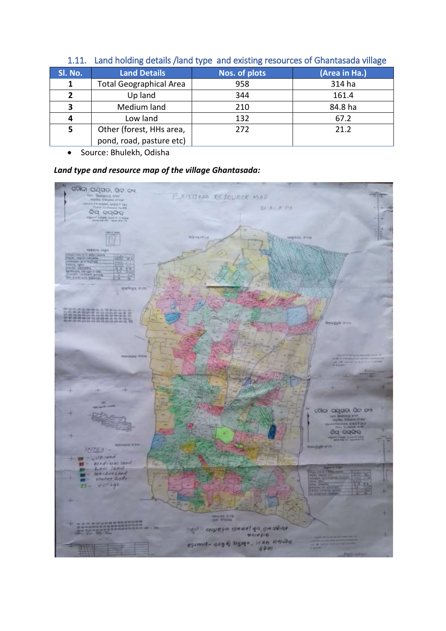| SI. No. | <b>Land Details</b>            | <b>Nos. of plots</b> | (Area in Ha.) |  |  |  |  |
|---------|--------------------------------|----------------------|---------------|--|--|--|--|
|         | <b>Total Geographical Area</b> | 958                  | 314 ha        |  |  |  |  |
| 2       | Up land                        | 344                  | 161.4         |  |  |  |  |
| 3       | Medium land                    | 210                  | 84.8 ha       |  |  |  |  |
| 4       | Low land                       | 132                  | 67.2          |  |  |  |  |
| 5       | Other (forest, HHs area,       | 272                  | 21.2          |  |  |  |  |
|         | pond, road, pasture etc)       |                      |               |  |  |  |  |

### 1.11. Land holding details /land type and existing resources of Ghantasada village

• Source: Bhulekh, Odisha

### *Land type and resource map of the village Ghantasada:*

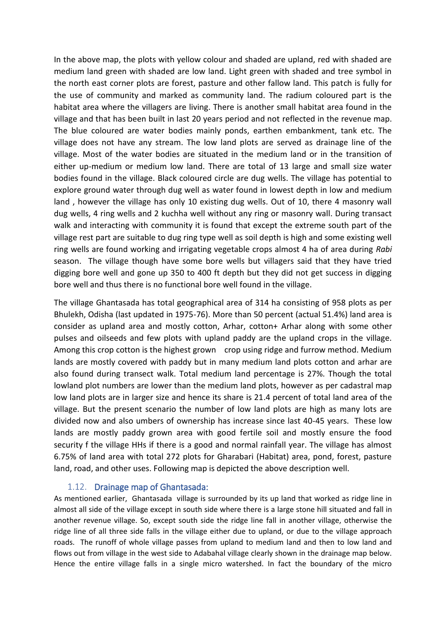In the above map, the plots with yellow colour and shaded are upland, red with shaded are medium land green with shaded are low land. Light green with shaded and tree symbol in the north east corner plots are forest, pasture and other fallow land. This patch is fully for the use of community and marked as community land. The radium coloured part is the habitat area where the villagers are living. There is another small habitat area found in the village and that has been built in last 20 years period and not reflected in the revenue map. The blue coloured are water bodies mainly ponds, earthen embankment, tank etc. The village does not have any stream. The low land plots are served as drainage line of the village. Most of the water bodies are situated in the medium land or in the transition of either up-medium or medium low land. There are total of 13 large and small size water bodies found in the village. Black coloured circle are dug wells. The village has potential to explore ground water through dug well as water found in lowest depth in low and medium land , however the village has only 10 existing dug wells. Out of 10, there 4 masonry wall dug wells, 4 ring wells and 2 kuchha well without any ring or masonry wall. During transact walk and interacting with community it is found that except the extreme south part of the village rest part are suitable to dug ring type well as soil depth is high and some existing well ring wells are found working and irrigating vegetable crops almost 4 ha of area during *Rabi* season. The village though have some bore wells but villagers said that they have tried digging bore well and gone up 350 to 400 ft depth but they did not get success in digging bore well and thus there is no functional bore well found in the village.

The village Ghantasada has total geographical area of 314 ha consisting of 958 plots as per Bhulekh, Odisha (last updated in 1975-76). More than 50 percent (actual 51.4%) land area is consider as upland area and mostly cotton, Arhar, cotton+ Arhar along with some other pulses and oilseeds and few plots with upland paddy are the upland crops in the village. Among this crop cotton is the highest grown crop using ridge and furrow method. Medium lands are mostly covered with paddy but in many medium land plots cotton and arhar are also found during transect walk. Total medium land percentage is 27%. Though the total lowland plot numbers are lower than the medium land plots, however as per cadastral map low land plots are in larger size and hence its share is 21.4 percent of total land area of the village. But the present scenario the number of low land plots are high as many lots are divided now and also umbers of ownership has increase since last 40-45 years. These low lands are mostly paddy grown area with good fertile soil and mostly ensure the food security f the village HHs if there is a good and normal rainfall year. The village has almost 6.75% of land area with total 272 plots for Gharabari (Habitat) area, pond, forest, pasture land, road, and other uses. Following map is depicted the above description well.

#### 1.12. Drainage map of Ghantasada:

As mentioned earlier, Ghantasada village is surrounded by its up land that worked as ridge line in almost all side of the village except in south side where there is a large stone hill situated and fall in another revenue village. So, except south side the ridge line fall in another village, otherwise the ridge line of all three side falls in the village either due to upland, or due to the village approach roads. The runoff of whole village passes from upland to medium land and then to low land and flows out from village in the west side to Adabahal village clearly shown in the drainage map below. Hence the entire village falls in a single micro watershed. In fact the boundary of the micro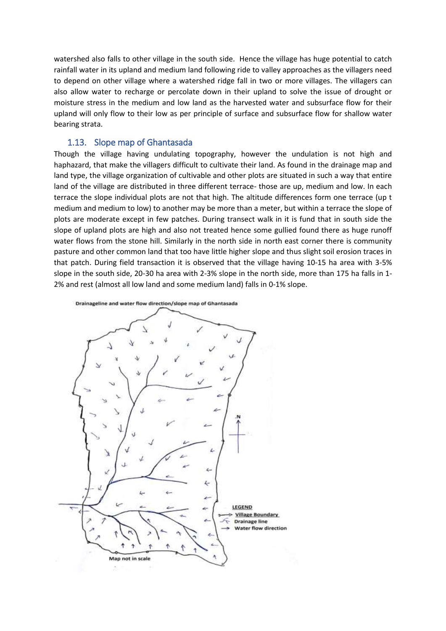watershed also falls to other village in the south side. Hence the village has huge potential to catch rainfall water in its upland and medium land following ride to valley approaches as the villagers need to depend on other village where a watershed ridge fall in two or more villages. The villagers can also allow water to recharge or percolate down in their upland to solve the issue of drought or moisture stress in the medium and low land as the harvested water and subsurface flow for their upland will only flow to their low as per principle of surface and subsurface flow for shallow water bearing strata.

#### 1.13. Slope map of Ghantasada

Though the village having undulating topography, however the undulation is not high and haphazard, that make the villagers difficult to cultivate their land. As found in the drainage map and land type, the village organization of cultivable and other plots are situated in such a way that entire land of the village are distributed in three different terrace- those are up, medium and low. In each terrace the slope individual plots are not that high. The altitude differences form one terrace (up t medium and medium to low) to another may be more than a meter, but within a terrace the slope of plots are moderate except in few patches. During transect walk in it is fund that in south side the slope of upland plots are high and also not treated hence some gullied found there as huge runoff water flows from the stone hill. Similarly in the north side in north east corner there is community pasture and other common land that too have little higher slope and thus slight soil erosion traces in that patch. During field transaction it is observed that the village having 10-15 ha area with 3-5% slope in the south side, 20-30 ha area with 2-3% slope in the north side, more than 175 ha falls in 1- 2% and rest (almost all low land and some medium land) falls in 0-1% slope.

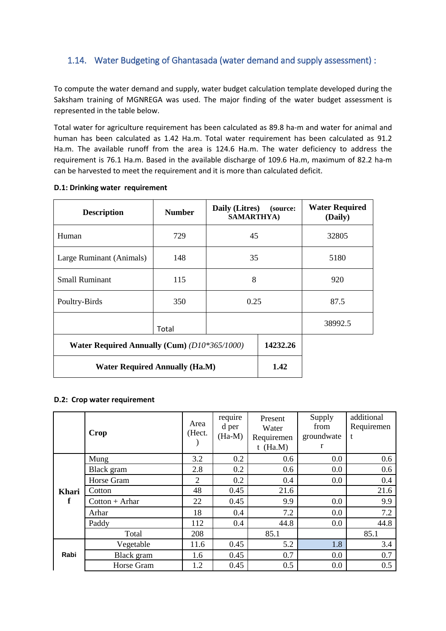### 1.14. Water Budgeting of Ghantasada (water demand and supply assessment) :

To compute the water demand and supply, water budget calculation template developed during the Saksham training of MGNREGA was used. The major finding of the water budget assessment is represented in the table below.

Total water for agriculture requirement has been calculated as 89.8 ha-m and water for animal and human has been calculated as 1.42 Ha.m. Total water requirement has been calculated as 91.2 Ha.m. The available runoff from the area is 124.6 Ha.m. The water deficiency to address the requirement is 76.1 Ha.m. Based in the available discharge of 109.6 Ha.m, maximum of 82.2 ha-m can be harvested to meet the requirement and it is more than calculated deficit.

| <b>Description</b>                                  | <b>Number</b> | Daily (Litres)<br><b>SAMARTHYA)</b> | (source: | <b>Water Required</b><br>(Daily) |
|-----------------------------------------------------|---------------|-------------------------------------|----------|----------------------------------|
| Human                                               | 729           | 45                                  |          | 32805                            |
| Large Ruminant (Animals)                            | 148           | 35                                  |          | 5180                             |
| <b>Small Ruminant</b>                               | 115           | 8                                   |          | 920                              |
| Poultry-Birds                                       | 350           | 0.25                                |          | 87.5                             |
| Total                                               |               |                                     |          | 38992.5                          |
| <b>Water Required Annually (Cum) (D10*365/1000)</b> | 14232.26      |                                     |          |                                  |
| <b>Water Required Annually (Ha.M)</b>               | 1.42          |                                     |          |                                  |

#### **D.1: Drinking water requirement**

#### **D.2: Crop water requirement**

|       | Crop             | Area<br>(Hect. | require<br>d per<br>$(Ha-M)$ | Present<br>Water<br>Requiremen<br>$t$ (Ha.M) | Supply<br>from<br>groundwate<br>r | additional<br>Requiremen<br>t |
|-------|------------------|----------------|------------------------------|----------------------------------------------|-----------------------------------|-------------------------------|
|       | Mung             | 3.2            | 0.2                          | 0.6                                          | 0.0                               | 0.6                           |
|       | Black gram       | 2.8            | 0.2                          | 0.6                                          | 0.0                               | 0.6                           |
|       | Horse Gram       | $\overline{2}$ | 0.2                          | 0.4                                          | 0.0                               | 0.4                           |
| Khari | Cotton           | 48             | 0.45                         | 21.6                                         |                                   | 21.6                          |
| f     | $Cottom + Arhar$ | 22             | 0.45                         | 9.9                                          | 0.0                               | 9.9                           |
|       | Arhar            | 18             | 0.4                          | 7.2                                          | 0.0                               | 7.2                           |
|       | Paddy            | 112            | 0.4                          | 44.8                                         | 0.0                               | 44.8                          |
|       | Total            | 208            |                              | 85.1                                         |                                   | 85.1                          |
|       | Vegetable        | 11.6           | 0.45                         | 5.2                                          | 1.8                               | 3.4                           |
| Rabi  | Black gram       | 1.6            | 0.45                         | 0.7                                          | 0.0                               | 0.7                           |
|       | Horse Gram       | 1.2            | 0.45                         | 0.5                                          | 0.0                               | 0.5                           |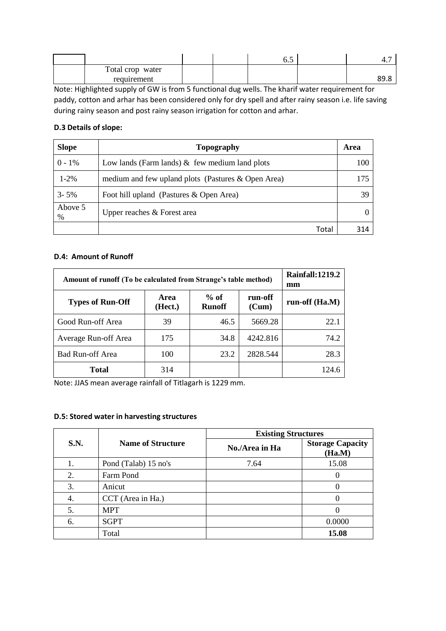|                  |  | ◡.◡ | $+$ . |
|------------------|--|-----|-------|
| Total crop water |  |     |       |
| requirement      |  |     | 89.8  |

Note: Highlighted supply of GW is from 5 functional dug wells. The kharif water requirement for paddy, cotton and arhar has been considered only for dry spell and after rainy season i.e. life saving during rainy season and post rainy season irrigation for cotton and arhar.

#### **D.3 Details of slope:**

| <b>Slope</b>    | Topography                                         | Area |
|-----------------|----------------------------------------------------|------|
| $0 - 1\%$       | Low lands (Farm lands) $\&$ few medium land plots  | 100  |
| $1 - 2\%$       | medium and few upland plots (Pastures & Open Area) | 175  |
| $3 - 5\%$       | Foot hill upland (Pastures & Open Area)            | 39   |
| Above 5<br>$\%$ | Upper reaches & Forest area                        |      |
|                 | Total                                              | 314  |

#### **D.4: Amount of Runoff**

| Amount of runoff (To be calculated from Strange's table method) | <b>Rainfall:1219.2</b><br>mm |                         |                  |                |
|-----------------------------------------------------------------|------------------------------|-------------------------|------------------|----------------|
| <b>Types of Run-Off</b>                                         | <b>Area</b><br>(Hect.)       | $%$ of<br><b>Runoff</b> | run-off<br>(Cum) | run-off (Ha.M) |
| Good Run-off Area                                               | 39                           | 46.5                    | 5669.28          | 22.1           |
| Average Run-off Area                                            | 175                          | 34.8                    | 4242.816         | 74.2           |
| <b>Bad Run-off Area</b>                                         | 100                          | 23.2                    | 2828.544         | 28.3           |
| Total                                                           | 314                          |                         |                  | 124.6          |

Note: JJAS mean average rainfall of Titlagarh is 1229 mm.

#### **D.5: Stored water in harvesting structures**

|             |                          | <b>Existing Structures</b> |                                   |  |  |  |
|-------------|--------------------------|----------------------------|-----------------------------------|--|--|--|
| <b>S.N.</b> | <b>Name of Structure</b> | No./Area in Ha             | <b>Storage Capacity</b><br>(Ha.M) |  |  |  |
| I.          | Pond (Talab) 15 no's     | 7.64                       | 15.08                             |  |  |  |
| 2.          | Farm Pond                |                            |                                   |  |  |  |
| 3.          | Anicut                   |                            |                                   |  |  |  |
| 4.          | CCT (Area in Ha.)        |                            |                                   |  |  |  |
| 5.          | <b>MPT</b>               |                            |                                   |  |  |  |
| 6.          | <b>SGPT</b>              |                            | 0.0000                            |  |  |  |
|             | Total                    |                            | 15.08                             |  |  |  |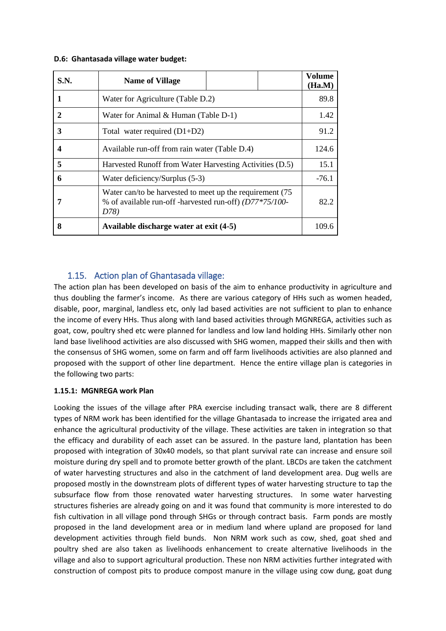#### **D.6: Ghantasada village water budget:**

| S.N.         | <b>Name of Village</b>                                                                                                      | Volume<br>(Ha.M) |  |  |  |  |
|--------------|-----------------------------------------------------------------------------------------------------------------------------|------------------|--|--|--|--|
|              | Water for Agriculture (Table D.2)                                                                                           |                  |  |  |  |  |
| $\mathbf{2}$ | Water for Animal & Human (Table D-1)                                                                                        |                  |  |  |  |  |
| 3            | Total water required $(D1+D2)$                                                                                              |                  |  |  |  |  |
| 4            | Available run-off from rain water (Table D.4)                                                                               |                  |  |  |  |  |
| 5            | Harvested Runoff from Water Harvesting Activities (D.5)                                                                     |                  |  |  |  |  |
| 6            | Water deficiency/Surplus (5-3)                                                                                              |                  |  |  |  |  |
| 7            | Water can/to be harvested to meet up the requirement (75<br>% of available run-off -harvested run-off) (D77*75/100-<br>D78) | 82.2             |  |  |  |  |
| 8            | Available discharge water at exit (4-5)                                                                                     | 109.6            |  |  |  |  |

### 1.15. Action plan of Ghantasada village:

The action plan has been developed on basis of the aim to enhance productivity in agriculture and thus doubling the farmer's income. As there are various category of HHs such as women headed, disable, poor, marginal, landless etc, only lad based activities are not sufficient to plan to enhance the income of every HHs. Thus along with land based activities through MGNREGA, activities such as goat, cow, poultry shed etc were planned for landless and low land holding HHs. Similarly other non land base livelihood activities are also discussed with SHG women, mapped their skills and then with the consensus of SHG women, some on farm and off farm livelihoods activities are also planned and proposed with the support of other line department. Hence the entire village plan is categories in the following two parts:

#### **1.15.1: MGNREGA work Plan**

Looking the issues of the village after PRA exercise including transact walk, there are 8 different types of NRM work has been identified for the village Ghantasada to increase the irrigated area and enhance the agricultural productivity of the village. These activities are taken in integration so that the efficacy and durability of each asset can be assured. In the pasture land, plantation has been proposed with integration of 30x40 models, so that plant survival rate can increase and ensure soil moisture during dry spell and to promote better growth of the plant. LBCDs are taken the catchment of water harvesting structures and also in the catchment of land development area. Dug wells are proposed mostly in the downstream plots of different types of water harvesting structure to tap the subsurface flow from those renovated water harvesting structures. In some water harvesting structures fisheries are already going on and it was found that community is more interested to do fish cultivation in all village pond through SHGs or through contract basis. Farm ponds are mostly proposed in the land development area or in medium land where upland are proposed for land development activities through field bunds. Non NRM work such as cow, shed, goat shed and poultry shed are also taken as livelihoods enhancement to create alternative livelihoods in the village and also to support agricultural production. These non NRM activities further integrated with construction of compost pits to produce compost manure in the village using cow dung, goat dung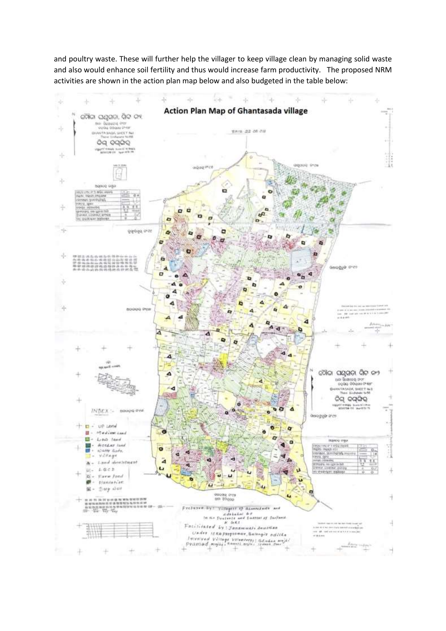and poultry waste. These will further help the villager to keep village clean by managing solid waste and also would enhance soil fertility and thus would increase farm productivity. The proposed NRM activities are shown in the action plan map below and also budgeted in the table below:

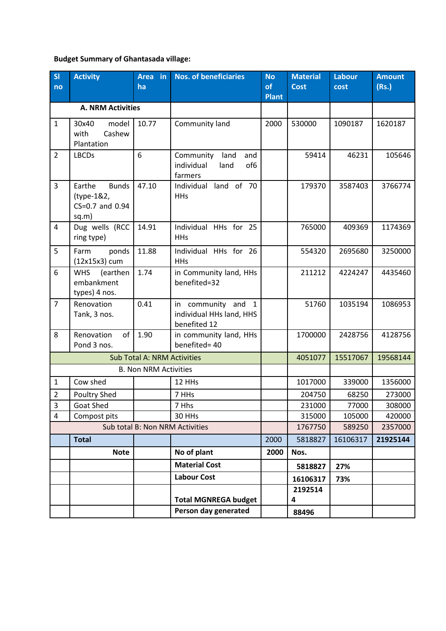### **Budget Summary of Ghantasada village:**

| S <sub>l</sub><br>no    | <b>Activity</b>                                                  | Area in<br>ha                      | <b>Nos. of beneficiaries</b>                                                 | <b>No</b><br>of<br><b>Plant</b> | <b>Material</b><br><b>Cost</b> | <b>Labour</b><br>cost | <b>Amount</b><br>(Rs.) |
|-------------------------|------------------------------------------------------------------|------------------------------------|------------------------------------------------------------------------------|---------------------------------|--------------------------------|-----------------------|------------------------|
|                         | <b>A. NRM Activities</b>                                         |                                    |                                                                              |                                 |                                |                       |                        |
| $\mathbf{1}$            | 30x40<br>model<br>Cashew<br>with<br>Plantation                   | 10.77                              | Community land                                                               | 2000                            | 530000                         | 1090187               | 1620187                |
| $\overline{2}$          | <b>LBCDs</b>                                                     | 6                                  | Community<br>land<br>and<br>individual<br>of <sub>6</sub><br>land<br>farmers |                                 | 59414                          | 46231                 | 105646                 |
| 3                       | <b>Bunds</b><br>Earthe<br>(type-1&2,<br>CS=0.7 and 0.94<br>sq.m) | 47.10                              | Individual land of 70<br><b>HHs</b>                                          |                                 | 179370                         | 3587403               | 3766774                |
| 4                       | Dug wells (RCC<br>ring type)                                     | 14.91                              | Individual HHs for 25<br><b>HHs</b>                                          |                                 | 765000                         | 409369                | 1174369                |
| 5                       | Farm<br>ponds<br>(12x15x3) cum                                   | 11.88                              | Individual HHs for 26<br><b>HHs</b>                                          |                                 | 554320                         | 2695680               | 3250000                |
| 6                       | <b>WHS</b><br>(earthen<br>embankment<br>types) 4 nos.            | 1.74                               | in Community land, HHs<br>benefited=32                                       |                                 | 211212                         | 4224247               | 4435460                |
| $\overline{7}$          | Renovation<br>Tank, 3 nos.                                       | 0.41                               | in community and<br>$\mathbf{1}$<br>individual HHs land, HHS<br>benefited 12 |                                 | 51760                          | 1035194               | 1086953                |
| 8                       | Renovation<br>of<br>Pond 3 nos.                                  | 1.90                               | in community land, HHs<br>benefited= 40                                      |                                 | 1700000                        | 2428756               | 4128756                |
|                         |                                                                  | <b>Sub Total A: NRM Activities</b> |                                                                              |                                 | 4051077                        | 15517067              | 19568144               |
|                         |                                                                  | <b>B. Non NRM Activities</b>       |                                                                              |                                 |                                |                       |                        |
| $\mathbf{1}$            | Cow shed                                                         |                                    | 12 HHs                                                                       |                                 | 1017000                        | 339000                | 1356000                |
| $\overline{2}$          | Poultry Shed                                                     |                                    | 7 HHs                                                                        |                                 | 204750                         | 68250                 | 273000                 |
| $\overline{\mathbf{3}}$ | Goat Shed                                                        |                                    | 7 Hhs                                                                        |                                 | 231000                         | 77000                 | 308000                 |
| $\overline{4}$          | Compost pits                                                     |                                    | 30 HHs                                                                       |                                 | 315000                         | 105000                | 420000                 |
|                         |                                                                  |                                    | Sub total B: Non NRM Activities                                              |                                 | 1767750                        | 589250                | 2357000                |
|                         | <b>Total</b>                                                     |                                    |                                                                              | 2000                            | 5818827                        | 16106317              | 21925144               |
|                         | <b>Note</b>                                                      |                                    | No of plant                                                                  | 2000                            | Nos.                           |                       |                        |
|                         |                                                                  |                                    | <b>Material Cost</b>                                                         |                                 | 5818827                        | 27%                   |                        |
|                         |                                                                  |                                    | <b>Labour Cost</b>                                                           |                                 | 16106317                       | 73%                   |                        |
|                         |                                                                  |                                    | <b>Total MGNREGA budget</b>                                                  |                                 | 2192514<br>4                   |                       |                        |
|                         |                                                                  |                                    | Person day generated                                                         |                                 | 88496                          |                       |                        |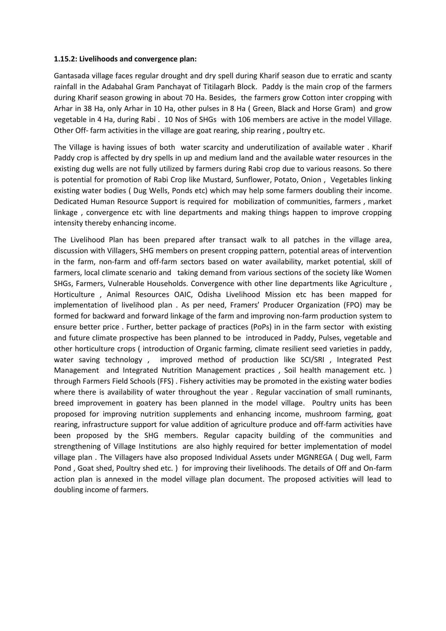#### **1.15.2: Livelihoods and convergence plan:**

Gantasada village faces regular drought and dry spell during Kharif season due to erratic and scanty rainfall in the Adabahal Gram Panchayat of Titilagarh Block. Paddy is the main crop of the farmers during Kharif season growing in about 70 Ha. Besides, the farmers grow Cotton inter cropping with Arhar in 38 Ha, only Arhar in 10 Ha, other pulses in 8 Ha ( Green, Black and Horse Gram) and grow vegetable in 4 Ha, during Rabi . 10 Nos of SHGs with 106 members are active in the model Village. Other Off- farm activities in the village are goat rearing, ship rearing , poultry etc.

The Village is having issues of both water scarcity and underutilization of available water . Kharif Paddy crop is affected by dry spells in up and medium land and the available water resources in the existing dug wells are not fully utilized by farmers during Rabi crop due to various reasons. So there is potential for promotion of Rabi Crop like Mustard, Sunflower, Potato, Onion , Vegetables linking existing water bodies ( Dug Wells, Ponds etc) which may help some farmers doubling their income. Dedicated Human Resource Support is required for mobilization of communities, farmers , market linkage , convergence etc with line departments and making things happen to improve cropping intensity thereby enhancing income.

The Livelihood Plan has been prepared after transact walk to all patches in the village area, discussion with Villagers, SHG members on present cropping pattern, potential areas of intervention in the farm, non-farm and off-farm sectors based on water availability, market potential, skill of farmers, local climate scenario and taking demand from various sections of the society like Women SHGs, Farmers, Vulnerable Households. Convergence with other line departments like Agriculture , Horticulture , Animal Resources OAIC, Odisha Livelihood Mission etc has been mapped for implementation of livelihood plan . As per need, Framers' Producer Organization (FPO) may be formed for backward and forward linkage of the farm and improving non-farm production system to ensure better price . Further, better package of practices (PoPs) in in the farm sector with existing and future climate prospective has been planned to be introduced in Paddy, Pulses, vegetable and other horticulture crops ( introduction of Organic farming, climate resilient seed varieties in paddy, water saving technology , improved method of production like SCI/SRI , Integrated Pest Management and Integrated Nutrition Management practices , Soil health management etc. ) through Farmers Field Schools (FFS) . Fishery activities may be promoted in the existing water bodies where there is availability of water throughout the year. Regular vaccination of small ruminants, breed improvement in goatery has been planned in the model village. Poultry units has been proposed for improving nutrition supplements and enhancing income, mushroom farming, goat rearing, infrastructure support for value addition of agriculture produce and off-farm activities have been proposed by the SHG members. Regular capacity building of the communities and strengthening of Village Institutions are also highly required for better implementation of model village plan . The Villagers have also proposed Individual Assets under MGNREGA ( Dug well, Farm Pond , Goat shed, Poultry shed etc. ) for improving their livelihoods. The details of Off and On-farm action plan is annexed in the model village plan document. The proposed activities will lead to doubling income of farmers.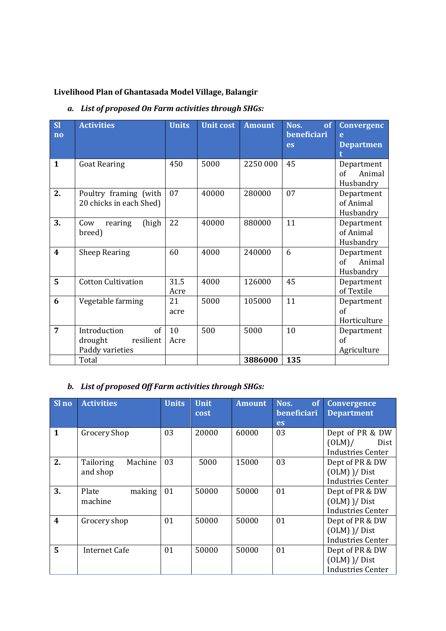# **Livelihood Plan of Ghantasada Model Village, Balangir**

### *a. List of proposed On Farm activities through SHGs:*

| <b>SI</b><br>$\overline{no}$ | <b>Activities</b>                                             | <b>Units</b> | <b>Unit cost</b> | <b>Amount</b> | Nos.<br>of<br>beneficiari | <b>Convergenc</b><br>e                   |
|------------------------------|---------------------------------------------------------------|--------------|------------------|---------------|---------------------------|------------------------------------------|
|                              |                                                               |              |                  |               | <b>es</b>                 | <b>Departmen</b>                         |
| $\mathbf{1}$                 | <b>Goat Rearing</b>                                           | 450          | 5000             | 2250 000      | 45                        | Department<br>Animal<br>of<br>Husbandry  |
| 2.                           | Poultry framing (with<br>20 chicks in each Shed)              | 07           | 40000            | 280000        | 07                        | Department<br>of Animal<br>Husbandry     |
| 3.                           | (high<br>rearing<br>Cow<br>breed)                             | 22           | 40000            | 880000        | 11                        | Department<br>of Animal<br>Husbandry     |
| $\boldsymbol{4}$             | <b>Sheep Rearing</b>                                          | 60           | 4000             | 240000        | 6                         | Department<br>of<br>Animal<br>Husbandry  |
| 5                            | <b>Cotton Cultivation</b>                                     | 31.5<br>Acre | 4000             | 126000        | 45                        | Department<br>of Textile                 |
| 6                            | Vegetable farming                                             | 21<br>acre   | 5000             | 105000        | 11                        | Department<br>$\alpha$ f<br>Horticulture |
| 7                            | of<br>Introduction<br>drought<br>resilient<br>Paddy varieties | 10<br>Acre   | 500              | 5000          | 10                        | Department<br>of<br>Agriculture          |
|                              | Total                                                         |              |                  | 3886000       | 135                       |                                          |

# *b. List of proposed Off Farm activities through SHGs:*

| Sl no                   | <b>Activities</b>                | <b>Units</b> | <b>Unit</b><br>cost | <b>Amount</b> | Nos.<br>of<br>beneficiari<br>es | Convergence<br><b>Department</b>                                 |
|-------------------------|----------------------------------|--------------|---------------------|---------------|---------------------------------|------------------------------------------------------------------|
| $\mathbf{1}$            | <b>Grocery Shop</b>              | 03           | 20000               | 60000         | 03                              | Dept of PR & DW<br>$(OLM)$ /<br>Dist<br><b>Industries Center</b> |
| 2.                      | Machine<br>Tailoring<br>and shop | 03           | 5000                | 15000         | 03                              | Dept of PR & DW<br>$(OLM)$ )/ Dist<br><b>Industries Center</b>   |
| 3.                      | Plate<br>making<br>machine       | 01           | 50000               | 50000         | 01                              | Dept of PR & DW<br>$(OLM)$ )/ Dist<br><b>Industries Center</b>   |
| $\overline{\mathbf{4}}$ | Grocery shop                     | 01           | 50000               | 50000         | 01                              | Dept of PR & DW<br>$(OLM)$ )/ Dist<br><b>Industries Center</b>   |
| 5                       | <b>Internet Cafe</b>             | 01           | 50000               | 50000         | 01                              | Dept of PR & DW<br>$(OLM)$ )/ Dist<br><b>Industries Center</b>   |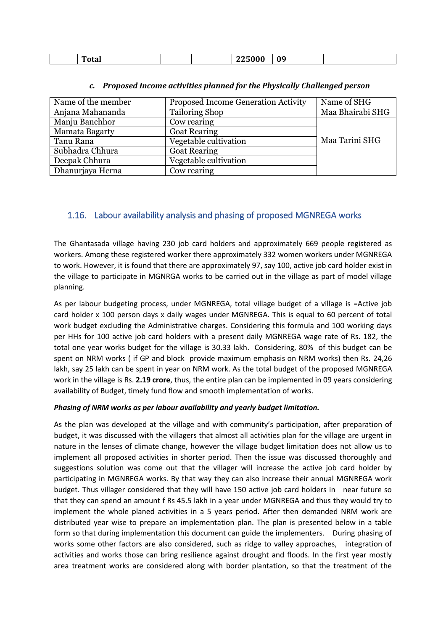| -<br>וח<br>otal |  |  | - | 0 <sub>9</sub> |  |
|-----------------|--|--|---|----------------|--|
|-----------------|--|--|---|----------------|--|

| Name of the member | <b>Proposed Income Generation Activity</b> | Name of SHG      |
|--------------------|--------------------------------------------|------------------|
| Anjana Mahananda   | <b>Tailoring Shop</b>                      | Maa Bhairabi SHG |
| Manju Banchhor     | Cow rearing                                |                  |
| Mamata Bagarty     | <b>Goat Rearing</b>                        |                  |
| Tanu Rana          | Vegetable cultivation                      | Maa Tarini SHG   |
| Subhadra Chhura    | <b>Goat Rearing</b>                        |                  |
| Deepak Chhura      | Vegetable cultivation                      |                  |
| Dhanurjaya Herna   | Cow rearing                                |                  |

#### *c. Proposed Income activities planned for the Physically Challenged person*

### 1.16. Labour availability analysis and phasing of proposed MGNREGA works

The Ghantasada village having 230 job card holders and approximately 669 people registered as workers. Among these registered worker there approximately 332 women workers under MGNREGA to work. However, it is found that there are approximately 97, say 100, active job card holder exist in the village to participate in MGNRGA works to be carried out in the village as part of model village planning.

As per labour budgeting process, under MGNREGA, total village budget of a village is =Active job card holder x 100 person days x daily wages under MGNREGA. This is equal to 60 percent of total work budget excluding the Administrative charges. Considering this formula and 100 working days per HHs for 100 active job card holders with a present daily MGNREGA wage rate of Rs. 182, the total one year works budget for the village is 30.33 lakh. Considering, 80% of this budget can be spent on NRM works ( if GP and block provide maximum emphasis on NRM works) then Rs. 24,26 lakh, say 25 lakh can be spent in year on NRM work. As the total budget of the proposed MGNREGA work in the village is Rs. **2.19 crore**, thus, the entire plan can be implemented in 09 years considering availability of Budget, timely fund flow and smooth implementation of works.

#### *Phasing of NRM works as per labour availability and yearly budget limitation.*

As the plan was developed at the village and with community's participation, after preparation of budget, it was discussed with the villagers that almost all activities plan for the village are urgent in nature in the lenses of climate change, however the village budget limitation does not allow us to implement all proposed activities in shorter period. Then the issue was discussed thoroughly and suggestions solution was come out that the villager will increase the active job card holder by participating in MGNREGA works. By that way they can also increase their annual MGNREGA work budget. Thus villager considered that they will have 150 active job card holders in near future so that they can spend an amount f Rs 45.5 lakh in a year under MGNREGA and thus they would try to implement the whole planed activities in a 5 years period. After then demanded NRM work are distributed year wise to prepare an implementation plan. The plan is presented below in a table form so that during implementation this document can guide the implementers. During phasing of works some other factors are also considered, such as ridge to valley approaches, integration of activities and works those can bring resilience against drought and floods. In the first year mostly area treatment works are considered along with border plantation, so that the treatment of the